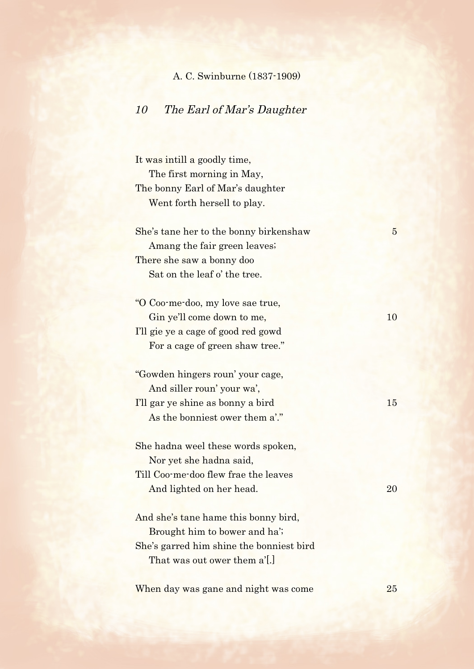## A. C. Swinburne (1837-1909)

## 10 The Earl of Mar's Daughter

It was intill a goodly time, The first morning in May, The bonny Earl of Mar's daughter Went forth hersell to play.

She's tane her to the bonny birkenshaw 5 Amang the fair green leaves; There she saw a bonny doo Sat on the leaf o' the tree.

"O Coo-me-doo, my love sae true, Gin ye'll come down to me, 10 I'll gie ye a cage of good red gowd For a cage of green shaw tree."

"Gowden hingers roun' your cage, And siller roun' your wa', I'll gar ye shine as bonny a bird 15 As the bonniest ower them a'."

She hadna weel these words spoken, Nor yet she hadna said, Till Coo-me-doo flew frae the leaves And lighted on her head. 20

And she's tane hame this bonny bird, Brought him to bower and ha'; She's garred him shine the bonniest bird That was out ower them a'[.]

When day was gane and night was come 25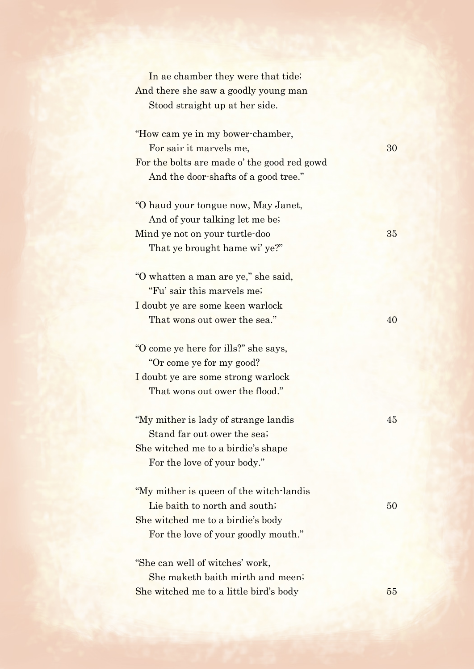In ae chamber they were that tide; And there she saw a goodly young man Stood straight up at her side.

"How cam ye in my bower-chamber, For sair it marvels me, 30 For the bolts are made o' the good red gowd And the door-shafts of a good tree."

"O haud your tongue now, May Janet, And of your talking let me be; Mind ye not on your turtle-doo 35 That ye brought hame wi' ye?"

"O whatten a man are ye," she said, "Fu' sair this marvels me; I doubt ye are some keen warlock That wons out ower the sea." And the search  $40$ 

"O come ye here for ills?" she says, "Or come ye for my good? I doubt ye are some strong warlock That wons out ower the flood."

"My mither is lady of strange landis 45 Stand far out ower the sea; She witched me to a birdie's shape For the love of your body."

"My mither is queen of the witch-landis Lie baith to north and south; 50 She witched me to a birdie's body For the love of your goodly mouth."

"She can well of witches' work, She maketh baith mirth and meen; She witched me to a little bird's body 55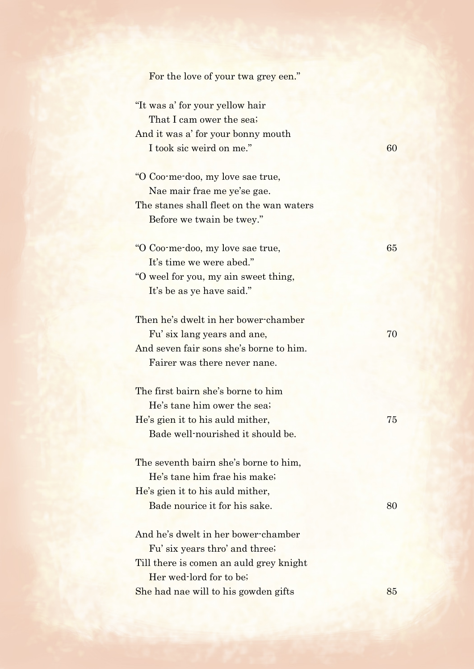| For the love of your twa grey een."      |    |
|------------------------------------------|----|
| "It was a' for your yellow hair          |    |
| That I cam ower the sea;                 |    |
| And it was a' for your bonny mouth       |    |
| I took sic weird on me."                 | 60 |
| "O Coo-me-doo, my love sae true,         |    |
| Nae mair frae me ye'se gae.              |    |
| The stanes shall fleet on the wan waters |    |
| Before we twain be twey."                |    |
| "O Coo-me-doo, my love sae true,         | 65 |
| It's time we were abed."                 |    |
| "O weel for you, my ain sweet thing,     |    |
| It's be as ye have said."                |    |
| Then he's dwelt in her bower-chamber     |    |
| Fu' six lang years and ane,              | 70 |
| And seven fair sons she's borne to him.  |    |
| Fairer was there never nane.             |    |
| The first bairn she's borne to him       |    |
| He's tane him ower the sea;              |    |
| He's gien it to his auld mither,         | 75 |
| Bade well-nourished it should be.        |    |
| The seventh bairn she's borne to him,    |    |
| He's tane him frae his make;             |    |
| He's gien it to his auld mither,         |    |
| Bade nourice it for his sake.            | 80 |
| And he's dwelt in her bower-chamber      |    |
| Fu' six years thro' and three;           |    |
| Till there is comen an auld grey knight  |    |
| Her wed-lord for to be;                  |    |
| She had nae will to his gowden gifts     | 85 |